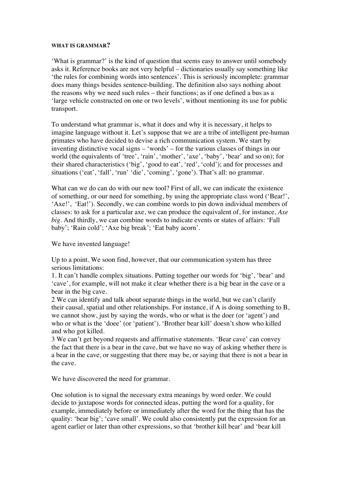## **WHAT IS GRAMMAR?**

'What is grammar?' is the kind of question that seems easy to answer until somebody asks it. Reference books are not very helpful – dictionaries usually say something like 'the rules for combining words into sentences'. This is seriously incomplete: grammar does many things besides sentence-building. The definition also says nothing about the reasons why we need such rules – their functions; as if one defined a bus as a 'large vehicle constructed on one or two levels', without mentioning its use for public transport.

To understand what grammar is, what it does and why it is necessary, it helps to imagine language without it. Let's suppose that we are a tribe of intelligent pre-human primates who have decided to devise a rich communication system. We start by inventing distinctive vocal signs – 'words' – for the various classes of things in our world (the equivalents of 'tree', 'rain', 'mother', 'axe', 'baby', 'bear' and so on); for their shared characteristics ('big', 'good to eat', 'red', 'cold'); and for processes and situations ('eat', 'fall', 'run' 'die', 'coming', 'gone'). That's all: no grammar.

What can we do can do with our new tool? First of all, we can indicate the existence of something, or our need for something, by using the appropriate class word ('Bear!', 'Axe!', 'Eat!'). Secondly, we can combine words to pin down individual members of classes: to ask for a particular axe, we can produce the equivalent of, for instance, *Axe big*. And thirdly, we can combine words to indicate events or states of affairs: 'Fall baby'; 'Rain cold'; 'Axe big break'; 'Eat baby acorn'.

We have invented language!

Up to a point. We soon find, however, that our communication system has three serious limitations:

1. It can't handle complex situations. Putting together our words for 'big', 'bear' and 'cave', for example, will not make it clear whether there is a big bear in the cave or a bear in the big cave.

2 We can identify and talk about separate things in the world, but we can't clarify their causal, spatial and other relationships. For instance, if A is doing something to B, we cannot show, just by saying the words, who or what is the doer (or 'agent') and who or what is the 'doee' (or 'patient'). 'Brother bear kill' doesn't show who killed and who got killed.

3 We can't get beyond requests and affirmative statements. 'Bear cave' can convey the fact that there is a bear in the cave, but we have no way of asking whether there is a bear in the cave, or suggesting that there may be, or saying that there is not a bear in the cave.

We have discovered the need for grammar.

One solution is to signal the necessary extra meanings by word order. We could decide to juxtapose words for connected ideas, putting the word for a quality, for example, immediately before or immediately after the word for the thing that has the quality: 'bear big'; 'cave small'. We could also consistently put the expression for an agent earlier or later than other expressions, so that 'brother kill bear' and 'bear kill